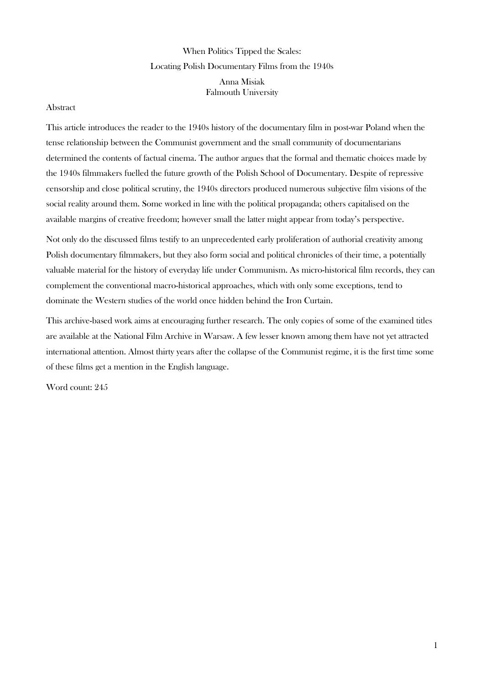# When Politics Tipped the Scales: Locating Polish Documentary Films from the 1940s Anna Misiak Falmouth University

## Abstract

This article introduces the reader to the 1940s history of the documentary film in post-war Poland when the tense relationship between the Communist government and the small community of documentarians determined the contents of factual cinema. The author argues that the formal and thematic choices made by the 1940s filmmakers fuelled the future growth of the Polish School of Documentary. Despite of repressive censorship and close political scrutiny, the 1940s directors produced numerous subjective film visions of the social reality around them. Some worked in line with the political propaganda; others capitalised on the available margins of creative freedom; however small the latter might appear from today's perspective.

Not only do the discussed films testify to an unprecedented early proliferation of authorial creativity among Polish documentary filmmakers, but they also form social and political chronicles of their time, a potentially valuable material for the history of everyday life under Communism. As micro-historical film records, they can complement the conventional macro-historical approaches, which with only some exceptions, tend to dominate the Western studies of the world once hidden behind the Iron Curtain.

This archive-based work aims at encouraging further research. The only copies of some of the examined titles are available at the National Film Archive in Warsaw. A few lesser known among them have not yet attracted international attention. Almost thirty years after the collapse of the Communist regime, it is the first time some of these films get a mention in the English language.

Word count: 245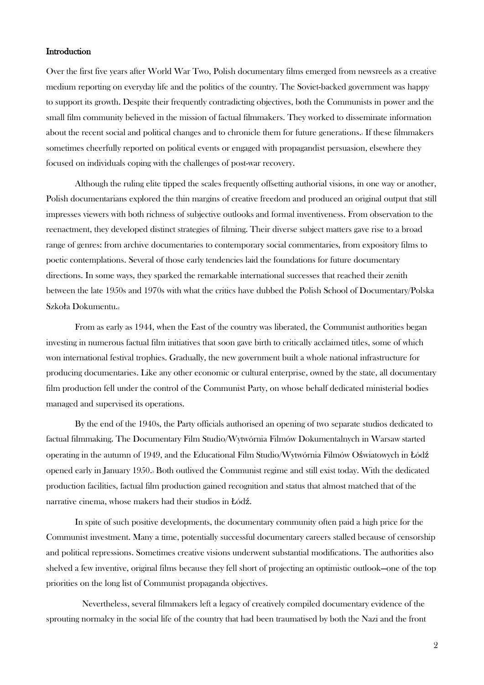## Introduction

Over the first five years after World War Two, Polish documentary films emerged from newsreels as a creative medium reporting on everyday life and the politics of the country. The Soviet-backed government was happy to support its growth. Despite their frequently contradicting objectives, both the Communists in power and the small film community believed in the mission of factual filmmakers. They worked to disseminate information about the recent social and political changes and to chronicle them for future generations.<sup>1</sup> If these filmmakers sometimes cheerfully reported on political events or engaged with propagandist persuasion, elsewhere they focused on individuals coping with the challenges of post-war recovery.

Although the ruling elite tipped the scales frequently offsetting authorial visions, in one way or another, Polish documentarians explored the thin margins of creative freedom and produced an original output that still impresses viewers with both richness of subjective outlooks and formal inventiveness. From observation to the reenactment, they developed distinct strategies of filming. Their diverse subject matters gave rise to a broad range of genres: from archive documentaries to contemporary social commentaries, from expository films to poetic contemplations. Several of those early tendencies laid the foundations for future documentary directions. In some ways, they sparked the remarkable international successes that reached their zenith between the late 1950s and 1970s with what the critics have dubbed the Polish School of Documentary/Polska Szkoła Dokumentu.<sup>2</sup>

From as early as 1944, when the East of the country was liberated, the Communist authorities began investing in numerous factual film initiatives that soon gave birth to critically acclaimed titles, some of which won international festival trophies. Gradually, the new government built a whole national infrastructure for producing documentaries. Like any other economic or cultural enterprise, owned by the state, all documentary film production fell under the control of the Communist Party, on whose behalf dedicated ministerial bodies managed and supervised its operations.

By the end of the 1940s, the Party officials authorised an opening of two separate studios dedicated to factual filmmaking. The Documentary Film Studio/Wytwórnia Filmów Dokumentalnych in Warsaw started operating in the autumn of 1949, and the Educational Film Studio/Wytwórnia Filmów Oświatowych in Łódź opened early in January 1950.<sup>3</sup> Both outlived the Communist regime and still exist today. With the dedicated production facilities, factual film production gained recognition and status that almost matched that of the narrative cinema, whose makers had their studios in Łódź.

In spite of such positive developments, the documentary community often paid a high price for the Communist investment. Many a time, potentially successful documentary careers stalled because of censorship and political repressions. Sometimes creative visions underwent substantial modifications. The authorities also shelved a few inventive, original films because they fell short of projecting an optimistic outlook—one of the top priorities on the long list of Communist propaganda objectives.

Nevertheless, several filmmakers left a legacy of creatively compiled documentary evidence of the sprouting normalcy in the social life of the country that had been traumatised by both the Nazi and the front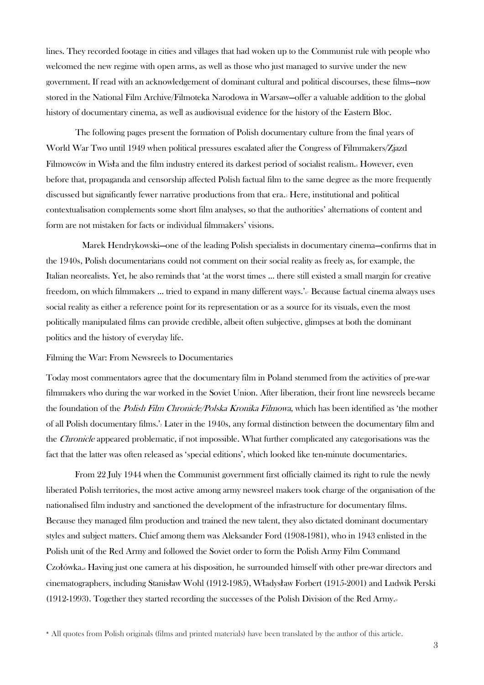lines. They recorded footage in cities and villages that had woken up to the Communist rule with people who welcomed the new regime with open arms, as well as those who just managed to survive under the new government. If read with an acknowledgement of dominant cultural and political discourses, these films—now stored in the National Film Archive/Filmoteka Narodowa in Warsaw—offer a valuable addition to the global history of documentary cinema, as well as audiovisual evidence for the history of the Eastern Bloc.

The following pages present the formation of Polish documentary culture from the final years of World War Two until 1949 when political pressures escalated after the Congress of Filmmakers/Zjazd Filmowców in Wisła and the film industry entered its darkest period of socialist realism.<sup>4</sup> However, even before that, propaganda and censorship affected Polish factual film to the same degree as the more frequently discussed but significantly fewer narrative productions from that era.<sup>5</sup> Here, institutional and political contextualisation complements some short film analyses, so that the authorities' alternations of content and form are not mistaken for facts or individual filmmakers' visions.

Marek Hendrykowski—one of the leading Polish specialists in documentary cinema—confirms that in the 1940s, Polish documentarians could not comment on their social reality as freely as, for example, the Italian neorealists. Yet, he also reminds that 'at the worst times … there still existed a small margin for creative freedom, on which filmmakers ... tried to expand in many different ways.'<sub>6</sub>: Because factual cinema always uses social reality as either a reference point for its representation or as a source for its visuals, even the most politically manipulated films can provide credible, albeit often subjective, glimpses at both the dominant politics and the history of everyday life.

#### Filming the War: From Newsreels to Documentaries

Today most commentators agree that the documentary film in Poland stemmed from the activities of pre-war filmmakers who during the war worked in the Soviet Union. After liberation, their front line newsreels became the foundation of the *Polish Film Chronicle/Polska Kronika Filmowa*, which has been identified as 'the mother of all Polish documentary films.'<sup>7</sup> Later in the 1940s, any formal distinction between the documentary film and the Chronicle appeared problematic, if not impossible. What further complicated any categorisations was the fact that the latter was often released as 'special editions', which looked like ten-minute documentaries.

From 22 July 1944 when the Communist government first officially claimed its right to rule the newly liberated Polish territories, the most active among army newsreel makers took charge of the organisation of the nationalised film industry and sanctioned the development of the infrastructure for documentary films. Because they managed film production and trained the new talent, they also dictated dominant documentary styles and subject matters. Chief among them was Aleksander Ford (1908-1981), who in 1943 enlisted in the Polish unit of the Red Army and followed the Soviet order to form the Polish Army Film Command Czołówka.<sup>8</sup> Having just one camera at his disposition, he surrounded himself with other pre-war directors and cinematographers, including Stanisław Wohl (1912-1985), Władysław Forbert (1915-2001) and Ludwik Perski (1912-1993). Together they started recording the successes of the Polish Division of the Red Army.<sup>9</sup>

\* All quotes from Polish originals (films and printed materials) have been translated by the author of this article.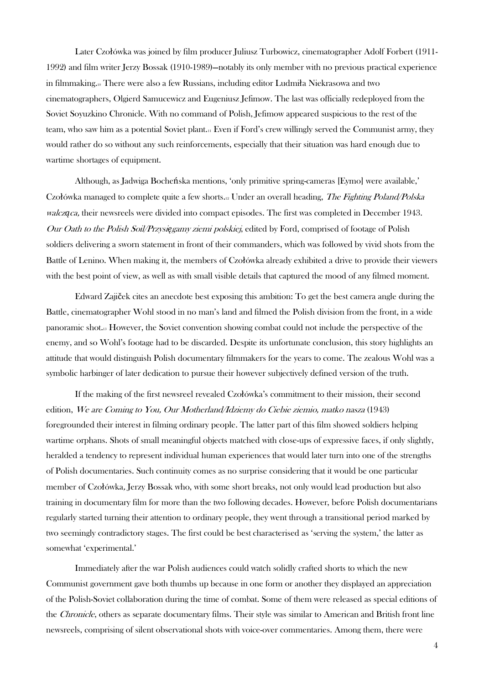Later Czołówka was joined by film producer Juliusz Turbowicz, cinematographer Adolf Forbert (1911- 1992) and film writer Jerzy Bossak (1910-1989)—notably its only member with no previous practical experience in filmmaking.<sup>10</sup> There were also a few Russians, including editor Ludmiła Niekrasowa and two cinematographers, Olgierd Samucewicz and Eugeniusz Jefimow. The last was officially redeployed from the Soviet Soyuzkino Chronicle. With no command of Polish, Jefimow appeared suspicious to the rest of the team, who saw him as a potential Soviet plant.<sup>11</sup> Even if Ford's crew willingly served the Communist army, they would rather do so without any such reinforcements, especially that their situation was hard enough due to wartime shortages of equipment.

Although, as Jadwiga Bocheńska mentions, 'only primitive spring-cameras [Eymo] were available,' Czołówka managed to complete quite a few shorts.<sup>12</sup> Under an overall heading, The Fighting Poland/Polska walcz*ą*ca, their newsreels were divided into compact episodes. The first was completed in December 1943. Our Oath to the Polish Soil/Przysi*ę*gamy ziemi polskiej, edited by Ford, comprised of footage of Polish soldiers delivering a sworn statement in front of their commanders, which was followed by vivid shots from the Battle of Lenino. When making it, the members of Czołówka already exhibited a drive to provide their viewers with the best point of view, as well as with small visible details that captured the mood of any filmed moment.

Edward Zajiček cites an anecdote best exposing this ambition: To get the best camera angle during the Battle, cinematographer Wohl stood in no man's land and filmed the Polish division from the front, in a wide panoramic shot.<sup>13</sup> However, the Soviet convention showing combat could not include the perspective of the enemy, and so Wohl's footage had to be discarded. Despite its unfortunate conclusion, this story highlights an attitude that would distinguish Polish documentary filmmakers for the years to come. The zealous Wohl was a symbolic harbinger of later dedication to pursue their however subjectively defined version of the truth.

If the making of the first newsreel revealed Czołówka's commitment to their mission, their second edition, We are Coming to You, Our Motherland/Idziemy do Ciebie ziemio, matko nasza (1943) foregrounded their interest in filming ordinary people. The latter part of this film showed soldiers helping wartime orphans. Shots of small meaningful objects matched with close-ups of expressive faces, if only slightly, heralded a tendency to represent individual human experiences that would later turn into one of the strengths of Polish documentaries. Such continuity comes as no surprise considering that it would be one particular member of Czołówka, Jerzy Bossak who, with some short breaks, not only would lead production but also training in documentary film for more than the two following decades. However, before Polish documentarians regularly started turning their attention to ordinary people, they went through a transitional period marked by two seemingly contradictory stages. The first could be best characterised as 'serving the system,' the latter as somewhat 'experimental.'

Immediately after the war Polish audiences could watch solidly crafted shorts to which the new Communist government gave both thumbs up because in one form or another they displayed an appreciation of the Polish-Soviet collaboration during the time of combat. Some of them were released as special editions of the *Chronicle*, others as separate documentary films. Their style was similar to American and British front line newsreels, comprising of silent observational shots with voice-over commentaries. Among them, there were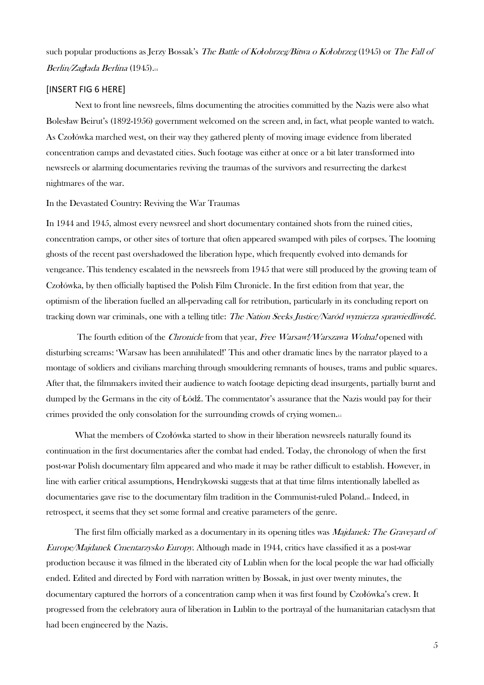such popular productions as Jerzy Bossak's The Battle of Ko*ł*obrzeg/Bitwa <sup>o</sup> Ko*ł*obrzeg (1945) or The Fall of Berlin/Zag*ł*ada Berlina (1945).<sup>14</sup>

## [INSERT FIG 6 HERE]

Next to front line newsreels, films documenting the atrocities committed by the Nazis were also what Bolesław Beirut's (1892-1956) government welcomed on the screen and, in fact, what people wanted to watch. As Czołówka marched west, on their way they gathered plenty of moving image evidence from liberated concentration camps and devastated cities. Such footage was either at once or a bit later transformed into newsreels or alarming documentaries reviving the traumas of the survivors and resurrecting the darkest nightmares of the war.

#### In the Devastated Country: Reviving the War Traumas

In 1944 and 1945, almost every newsreel and short documentary contained shots from the ruined cities, concentration camps, or other sites of torture that often appeared swamped with piles of corpses. The looming ghosts of the recent past overshadowed the liberation hype, which frequently evolved into demands for vengeance. This tendency escalated in the newsreels from 1945 that were still produced by the growing team of Czołówka, by then officially baptised the Polish Film Chronicle. In the first edition from that year, the optimism of the liberation fuelled an all-pervading call for retribution, particularly in its concluding report on tracking down war criminals, one with a telling title: The Nation Seeks Justice/Naród wymierza sprawiedliwo*ść*.

The fourth edition of the *Chronicle* from that year, *Free Warsaw!/Warszawa Wolna!* opened with disturbing screams: 'Warsaw has been annihilated!' This and other dramatic lines by the narrator played to a montage of soldiers and civilians marching through smouldering remnants of houses, trams and public squares. After that, the filmmakers invited their audience to watch footage depicting dead insurgents, partially burnt and dumped by the Germans in the city of Łódź. The commentator's assurance that the Nazis would pay for their crimes provided the only consolation for the surrounding crowds of crying women.<sup>15</sup>

What the members of Czołówka started to show in their liberation newsreels naturally found its continuation in the first documentaries after the combat had ended. Today, the chronology of when the first post-war Polish documentary film appeared and who made it may be rather difficult to establish. However, in line with earlier critical assumptions, Hendrykowski suggests that at that time films intentionally labelled as documentaries gave rise to the documentary film tradition in the Communist-ruled Poland.<sup>16</sup> Indeed, in retrospect, it seems that they set some formal and creative parameters of the genre.

The first film officially marked as a documentary in its opening titles was *Majdanek: The Gravevard of* Europe/Majdanek Cmentarzysko Europy. Although made in 1944, critics have classified it as a post-war production because it was filmed in the liberated city of Lublin when for the local people the war had officially ended. Edited and directed by Ford with narration written by Bossak, in just over twenty minutes, the documentary captured the horrors of a concentration camp when it was first found by Czołówka's crew. It progressed from the celebratory aura of liberation in Lublin to the portrayal of the humanitarian cataclysm that had been engineered by the Nazis.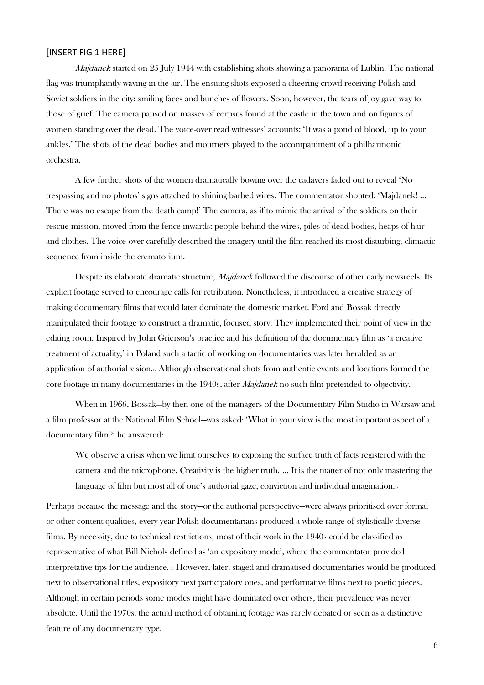## [INSERT FIG 1 HERE]

Majdanek started on 25 July 1944 with establishing shots showing a panorama of Lublin. The national flag was triumphantly waving in the air. The ensuing shots exposed a cheering crowd receiving Polish and Soviet soldiers in the city: smiling faces and bunches of flowers. Soon, however, the tears of joy gave way to those of grief. The camera paused on masses of corpses found at the castle in the town and on figures of women standing over the dead. The voice-over read witnesses' accounts: 'It was a pond of blood, up to your ankles.' The shots of the dead bodies and mourners played to the accompaniment of a philharmonic orchestra.

A few further shots of the women dramatically bowing over the cadavers faded out to reveal 'No trespassing and no photos' signs attached to shining barbed wires. The commentator shouted: 'Majdanek! … There was no escape from the death camp!' The camera, as if to mimic the arrival of the soldiers on their rescue mission, moved from the fence inwards: people behind the wires, piles of dead bodies, heaps of hair and clothes. The voice-over carefully described the imagery until the film reached its most disturbing, climactic sequence from inside the crematorium.

Despite its elaborate dramatic structure, *Majdanek* followed the discourse of other early newsreels. Its explicit footage served to encourage calls for retribution. Nonetheless, it introduced a creative strategy of making documentary films that would later dominate the domestic market. Ford and Bossak directly manipulated their footage to construct a dramatic, focused story. They implemented their point of view in the editing room. Inspired by John Grierson's practice and his definition of the documentary film as 'a creative treatment of actuality,' in Poland such a tactic of working on documentaries was later heralded as an application of authorial vision.<sup>17</sup> Although observational shots from authentic events and locations formed the core footage in many documentaries in the 1940s, after *Majdanek* no such film pretended to objectivity.

When in 1966, Bossak—by then one of the managers of the Documentary Film Studio in Warsaw and a film professor at the National Film School—was asked: 'What in your view is the most important aspect of a documentary film?' he answered:

We observe a crisis when we limit ourselves to exposing the surface truth of facts registered with the camera and the microphone. Creativity is the higher truth. … It is the matter of not only mastering the language of film but most all of one's authorial gaze, conviction and individual imagination.

Perhaps because the message and the story—or the authorial perspective—were always prioritised over formal or other content qualities, every year Polish documentarians produced a whole range of stylistically diverse films. By necessity, due to technical restrictions, most of their work in the 1940s could be classified as representative of what Bill Nichols defined as 'an expository mode', where the commentator provided interpretative tips for the audience. <sup>19</sup> However, later, staged and dramatised documentaries would be produced next to observational titles, expository next participatory ones, and performative films next to poetic pieces. Although in certain periods some modes might have dominated over others, their prevalence was never absolute. Until the 1970s, the actual method of obtaining footage was rarely debated or seen as a distinctive feature of any documentary type.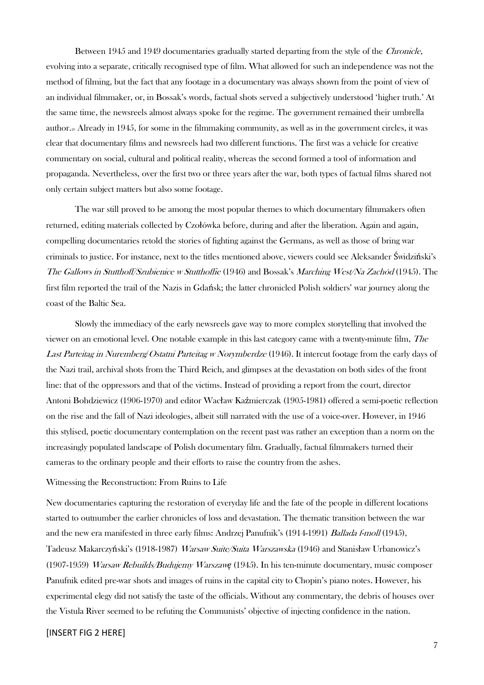Between 1945 and 1949 documentaries gradually started departing from the style of the Chronicle, evolving into a separate, critically recognised type of film. What allowed for such an independence was not the method of filming, but the fact that any footage in a documentary was always shown from the point of view of an individual filmmaker, or, in Bossak's words, factual shots served a subjectively understood 'higher truth.' At the same time, the newsreels almost always spoke for the regime. The government remained their umbrella author.<sup>20</sup> Already in 1945, for some in the filmmaking community, as well as in the government circles, it was clear that documentary films and newsreels had two different functions. The first was a vehicle for creative commentary on social, cultural and political reality, whereas the second formed a tool of information and propaganda. Nevertheless, over the first two or three years after the war, both types of factual films shared not only certain subject matters but also some footage.

The war still proved to be among the most popular themes to which documentary filmmakers often returned, editing materials collected by Czołówka before, during and after the liberation. Again and again, compelling documentaries retold the stories of fighting against the Germans, as well as those of bring war criminals to justice. For instance, next to the titles mentioned above, viewers could see Aleksander Świdziński's The Gallows in Stutthoff/Szubienice <sup>w</sup> Stutthoffie (1946) and Bossak's Marching West/Na Zachód (1945). The first film reported the trail of the Nazis in Gdańsk; the latter chronicled Polish soldiers' war journey along the coast of the Baltic Sea.

Slowly the immediacy of the early newsreels gave way to more complex storytelling that involved the viewer on an emotional level. One notable example in this last category came with a twenty-minute film, The Last Parteitag in Nuremberg Ostatni Parteitag w Norymberdze (1946). It intercut footage from the early days of the Nazi trail, archival shots from the Third Reich, and glimpses at the devastation on both sides of the front line: that of the oppressors and that of the victims. Instead of providing a report from the court, director Antoni Bohdziewicz (1906-1970) and editor Wacław Kaźmierczak (1905-1981) offered a semi-poetic reflection on the rise and the fall of Nazi ideologies, albeit still narrated with the use of a voice-over. However, in 1946 this stylised, poetic documentary contemplation on the recent past was rather an exception than a norm on the increasingly populated landscape of Polish documentary film. Gradually, factual filmmakers turned their cameras to the ordinary people and their efforts to raise the country from the ashes.

## Witnessing the Reconstruction: From Ruins to Life

New documentaries capturing the restoration of everyday life and the fate of the people in different locations started to outnumber the earlier chronicles of loss and devastation. The thematic transition between the war and the new era manifested in three early films: Andrzej Panufnik's (1914-1991) Ballada f-moll (1945), Tadeusz Makarczyński's (1918-1987) Warsaw Suite/Suita Warszawska (1946) and Stanisław Urbanowicz's (1907-1959) Warsaw Rebuilds/Budujemy Warszaw*ę* (1945). In his ten-minute documentary, music composer Panufnik edited pre-war shots and images of ruins in the capital city to Chopin's piano notes. However, his experimental elegy did not satisfy the taste of the officials. Without any commentary, the debris of houses over the Vistula River seemed to be refuting the Communists' objective of injecting confidence in the nation.

## [INSERT FIG 2 HERE]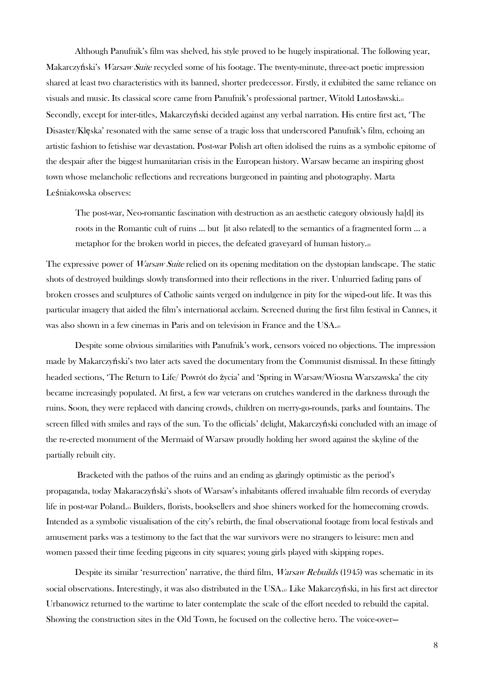Although Panufnik's film was shelved, his style proved to be hugely inspirational. The following year, Makarczyński's Warsaw Suite recycled some of his footage. The twenty-minute, three-act poetic impression shared at least two characteristics with its banned, shorter predecessor. Firstly, it exhibited the same reliance on visuals and music. Its classical score came from Panufnik's professional partner, Witold Lutosławski.<sup>21</sup> Secondly, except for inter-titles, Makarczyński decided against any verbal narration. His entire first act, 'The Disaster/Klęska' resonated with the same sense of a tragic loss that underscored Panufnik's film, echoing an artistic fashion to fetishise war devastation. Post-war Polish art often idolised the ruins as a symbolic epitome of the despair after the biggest humanitarian crisis in the European history. Warsaw became an inspiring ghost town whose melancholic reflections and recreations burgeoned in painting and photography. Marta Leśniakowska observes:

The post-war, Neo-romantic fascination with destruction as an aesthetic category obviously ha[d] its roots in the Romantic cult of ruins … but [it also related] to the semantics of a fragmented form … a metaphor for the broken world in pieces, the defeated graveyard of human history.<sup>22</sup>

The expressive power of *Warsaw Suite* relied on its opening meditation on the dystopian landscape. The static shots of destroyed buildings slowly transformed into their reflections in the river. Unhurried fading pans of broken crosses and sculptures of Catholic saints verged on indulgence in pity for the wiped-out life. It was this particular imagery that aided the film's international acclaim. Screened during the first film festival in Cannes, it was also shown in a few cinemas in Paris and on television in France and the USA.<sup>23</sup>

Despite some obvious similarities with Panufnik's work, censors voiced no objections. The impression made by Makarczyński's two later acts saved the documentary from the Communist dismissal. In these fittingly headed sections, 'The Return to Life/ Powrót do życia' and 'Spring in Warsaw/Wiosna Warszawska' the city became increasingly populated. At first, a few war veterans on crutches wandered in the darkness through the ruins. Soon, they were replaced with dancing crowds, children on merry-go-rounds, parks and fountains. The screen filled with smiles and rays of the sun. To the officials' delight, Makarczyński concluded with an image of the re-erected monument of the Mermaid of Warsaw proudly holding her sword against the skyline of the partially rebuilt city.

Bracketed with the pathos of the ruins and an ending as glaringly optimistic as the period's propaganda, today Makaraczyński's shots of Warsaw's inhabitants offered invaluable film records of everyday life in post-war Poland.<sup>24</sup> Builders, florists, booksellers and shoe shiners worked for the homecoming crowds. Intended as a symbolic visualisation of the city's rebirth, the final observational footage from local festivals and amusement parks was a testimony to the fact that the war survivors were no strangers to leisure: men and women passed their time feeding pigeons in city squares; young girls played with skipping ropes.

Despite its similar 'resurrection' narrative, the third film, *Warsaw Rebuilds* (1945) was schematic in its social observations. Interestingly, it was also distributed in the USA.<sup>25</sup> Like Makarczyński, in his first act director Urbanowicz returned to the wartime to later contemplate the scale of the effort needed to rebuild the capital. Showing the construction sites in the Old Town, he focused on the collective hero. The voice-over—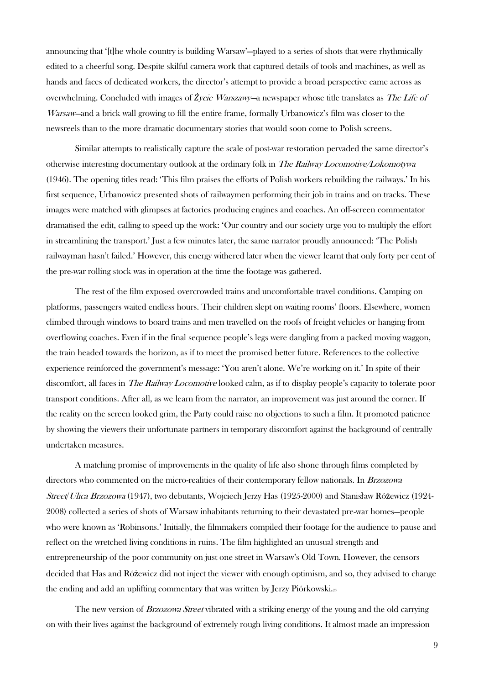announcing that '[t]he whole country is building Warsaw'—played to a series of shots that were rhythmically edited to a cheerful song. Despite skilful camera work that captured details of tools and machines, as well as hands and faces of dedicated workers, the director's attempt to provide a broad perspective came across as overwhelming. Concluded with images of *Ż*ycie Warszawy—a newspaper whose title translates as The Life of Warsaw—and a brick wall growing to fill the entire frame, formally Urbanowicz's film was closer to the newsreels than to the more dramatic documentary stories that would soon come to Polish screens.

Similar attempts to realistically capture the scale of post-war restoration pervaded the same director's otherwise interesting documentary outlook at the ordinary folk in The Railway Locomotive/Lokomotywa (1946). The opening titles read: 'This film praises the efforts of Polish workers rebuilding the railways.' In his first sequence, Urbanowicz presented shots of railwaymen performing their job in trains and on tracks. These images were matched with glimpses at factories producing engines and coaches. An off-screen commentator dramatised the edit, calling to speed up the work: 'Our country and our society urge you to multiply the effort in streamlining the transport.' Just a few minutes later, the same narrator proudly announced: 'The Polish railwayman hasn't failed.' However, this energy withered later when the viewer learnt that only forty per cent of the pre-war rolling stock was in operation at the time the footage was gathered.

The rest of the film exposed overcrowded trains and uncomfortable travel conditions. Camping on platforms, passengers waited endless hours. Their children slept on waiting rooms' floors. Elsewhere, women climbed through windows to board trains and men travelled on the roofs of freight vehicles or hanging from overflowing coaches. Even if in the final sequence people's legs were dangling from a packed moving waggon, the train headed towards the horizon, as if to meet the promised better future. References to the collective experience reinforced the government's message: 'You aren't alone. We're working on it.' In spite of their discomfort, all faces in *The Railway Locomotive* looked calm, as if to display people's capacity to tolerate poor transport conditions. After all, as we learn from the narrator, an improvement was just around the corner. If the reality on the screen looked grim, the Party could raise no objections to such a film. It promoted patience by showing the viewers their unfortunate partners in temporary discomfort against the background of centrally undertaken measures.

A matching promise of improvements in the quality of life also shone through films completed by directors who commented on the micro-realities of their contemporary fellow nationals. In Brzozowa Street/Ulica Brzozowa (1947), two debutants, Wojciech Jerzy Has (1925-2000) and Stanisław Różewicz (1924- 2008) collected a series of shots of Warsaw inhabitants returning to their devastated pre-war homes—people who were known as 'Robinsons.' Initially, the filmmakers compiled their footage for the audience to pause and reflect on the wretched living conditions in ruins. The film highlighted an unusual strength and entrepreneurship of the poor community on just one street in Warsaw's Old Town. However, the censors decided that Has and Różewicz did not inject the viewer with enough optimism, and so, they advised to change the ending and add an uplifting commentary that was written by Jerzy Piórkowski.<sup>26</sup>

The new version of *Brzozowa Street* vibrated with a striking energy of the young and the old carrying on with their lives against the background of extremely rough living conditions. It almost made an impression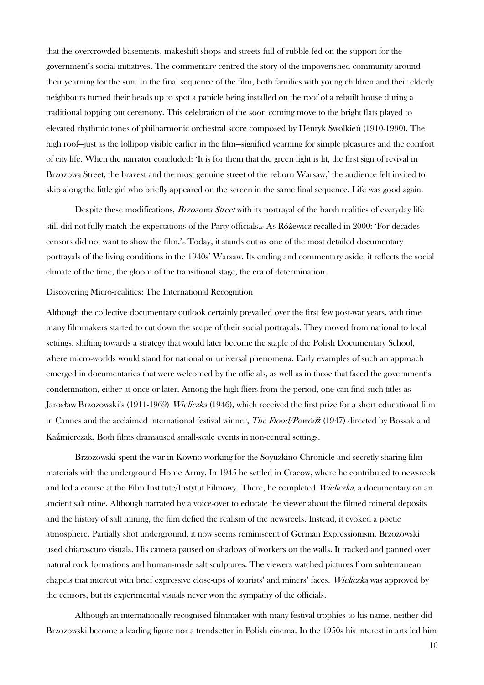that the overcrowded basements, makeshift shops and streets full of rubble fed on the support for the government's social initiatives. The commentary centred the story of the impoverished community around their yearning for the sun. In the final sequence of the film, both families with young children and their elderly neighbours turned their heads up to spot a panicle being installed on the roof of a rebuilt house during a traditional topping out ceremony. This celebration of the soon coming move to the bright flats played to elevated rhythmic tones of philharmonic orchestral score composed by Henryk Swolkień (1910-1990). The high roof—just as the lollipop visible earlier in the film—signified yearning for simple pleasures and the comfort of city life. When the narrator concluded: 'It is for them that the green light is lit, the first sign of revival in Brzozowa Street, the bravest and the most genuine street of the reborn Warsaw,' the audience felt invited to skip along the little girl who briefly appeared on the screen in the same final sequence. Life was good again.

Despite these modifications, *Brzozowa Street* with its portrayal of the harsh realities of everyday life still did not fully match the expectations of the Party officials.<sup>27</sup> As Różewicz recalled in 2000: 'For decades censors did not want to show the film.'<sup>28</sup> Today, it stands out as one of the most detailed documentary portrayals of the living conditions in the 1940s' Warsaw. Its ending and commentary aside, it reflects the social climate of the time, the gloom of the transitional stage, the era of determination.

#### Discovering Micro-realities: The International Recognition

Although the collective documentary outlook certainly prevailed over the first few post-war years, with time many filmmakers started to cut down the scope of their social portrayals. They moved from national to local settings, shifting towards a strategy that would later become the staple of the Polish Documentary School, where micro-worlds would stand for national or universal phenomena. Early examples of such an approach emerged in documentaries that were welcomed by the officials, as well as in those that faced the government's condemnation, either at once or later. Among the high fliers from the period, one can find such titles as Jarosław Brzozowski's (1911-1969) Wieliczka (1946), which received the first prize for a short educational film in Cannes and the acclaimed international festival winner, The Flood/Powód*ź* (1947) directed by Bossak and Kaźmierczak. Both films dramatised small-scale events in non-central settings.

Brzozowski spent the war in Kowno working for the Soyuzkino Chronicle and secretly sharing film materials with the underground Home Army. In 1945 he settled in Cracow, where he contributed to newsreels and led a course at the Film Institute/Instytut Filmowy. There, he completed Wieliczka, a documentary on an ancient salt mine. Although narrated by a voice-over to educate the viewer about the filmed mineral deposits and the history of salt mining, the film defied the realism of the newsreels. Instead, it evoked a poetic atmosphere. Partially shot underground, it now seems reminiscent of German Expressionism. Brzozowski used chiaroscuro visuals. His camera paused on shadows of workers on the walls. It tracked and panned over natural rock formations and human-made salt sculptures. The viewers watched pictures from subterranean chapels that intercut with brief expressive close-ups of tourists' and miners' faces. Wieliczka was approved by the censors, but its experimental visuals never won the sympathy of the officials.

Although an internationally recognised filmmaker with many festival trophies to his name, neither did Brzozowski become a leading figure nor a trendsetter in Polish cinema. In the 1950s his interest in arts led him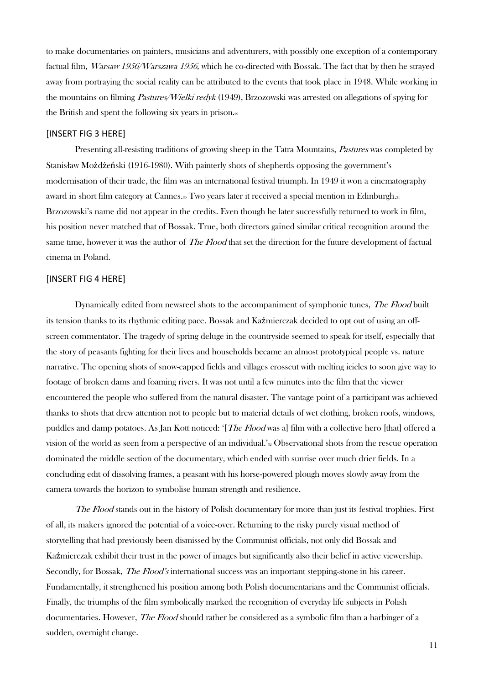to make documentaries on painters, musicians and adventurers, with possibly one exception of a contemporary factual film, Warsaw 1956/Warszawa 1956, which he co-directed with Bossak. The fact that by then he strayed away from portraying the social reality can be attributed to the events that took place in 1948. While working in the mountains on filming *Pastures/Wielki redyk* (1949), Brzozowski was arrested on allegations of spying for the British and spent the following six years in prison.<sup>29</sup>

## [INSERT FIG 3 HERE]

Presenting all-resisting traditions of growing sheep in the Tatra Mountains, *Pastures* was completed by Stanisław Możdżeński (1916-1980). With painterly shots of shepherds opposing the government's modernisation of their trade, the film was an international festival triumph. In 1949 it won a cinematography award in short film category at Cannes.<sup>30</sup> Two years later it received a special mention in Edinburgh.<sup>31</sup> Brzozowski's name did not appear in the credits. Even though he later successfully returned to work in film, his position never matched that of Bossak. True, both directors gained similar critical recognition around the same time, however it was the author of *The Flood* that set the direction for the future development of factual cinema in Poland.

## [INSERT FIG 4 HERE]

Dynamically edited from newsreel shots to the accompaniment of symphonic tunes, *The Flood* built its tension thanks to its rhythmic editing pace. Bossak and Kaźmierczak decided to opt out of using an offscreen commentator. The tragedy of spring deluge in the countryside seemed to speak for itself, especially that the story of peasants fighting for their lives and households became an almost prototypical people vs. nature narrative. The opening shots of snow-capped fields and villages crosscut with melting icicles to soon give way to footage of broken dams and foaming rivers. It was not until a few minutes into the film that the viewer encountered the people who suffered from the natural disaster. The vantage point of a participant was achieved thanks to shots that drew attention not to people but to material details of wet clothing, broken roofs, windows, puddles and damp potatoes. As Jan Kott noticed: '[The Flood was a] film with a collective hero [that] offered a vision of the world as seen from a perspective of an individual.'<sup>32</sup> Observational shots from the rescue operation dominated the middle section of the documentary, which ended with sunrise over much drier fields. In a concluding edit of dissolving frames, a peasant with his horse-powered plough moves slowly away from the camera towards the horizon to symbolise human strength and resilience.

The Flood stands out in the history of Polish documentary for more than just its festival trophies. First of all, its makers ignored the potential of a voice-over. Returning to the risky purely visual method of storytelling that had previously been dismissed by the Communist officials, not only did Bossak and Kaźmierczak exhibit their trust in the power of images but significantly also their belief in active viewership. Secondly, for Bossak, *The Flood's* international success was an important stepping-stone in his career. Fundamentally, it strengthened his position among both Polish documentarians and the Communist officials. Finally, the triumphs of the film symbolically marked the recognition of everyday life subjects in Polish documentaries. However, *The Flood* should rather be considered as a symbolic film than a harbinger of a sudden, overnight change.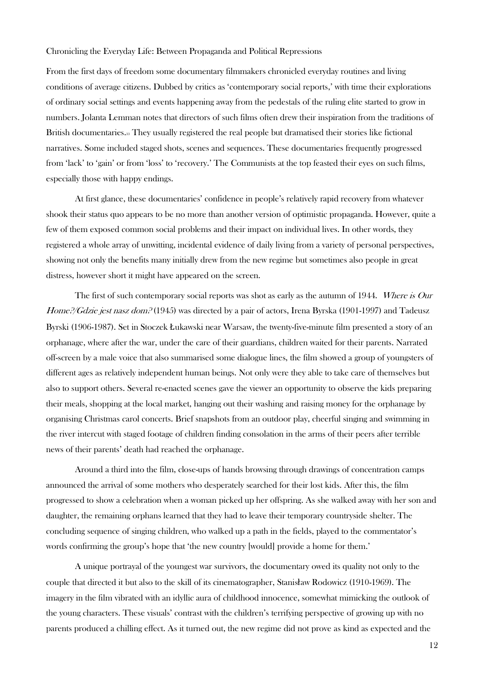## Chronicling the Everyday Life: Between Propaganda and Political Repressions

From the first days of freedom some documentary filmmakers chronicled everyday routines and living conditions of average citizens. Dubbed by critics as 'contemporary social reports,' with time their explorations of ordinary social settings and events happening away from the pedestals of the ruling elite started to grow in numbers. Jolanta Lemman notes that directors of such films often drew their inspiration from the traditions of British documentaries.<sup>33</sup> They usually registered the real people but dramatised their stories like fictional narratives. Some included staged shots, scenes and sequences. These documentaries frequently progressed from 'lack' to 'gain' or from 'loss' to 'recovery.' The Communists at the top feasted their eyes on such films, especially those with happy endings.

At first glance, these documentaries' confidence in people's relatively rapid recovery from whatever shook their status quo appears to be no more than another version of optimistic propaganda. However, quite a few of them exposed common social problems and their impact on individual lives. In other words, they registered a whole array of unwitting, incidental evidence of daily living from a variety of personal perspectives, showing not only the benefits many initially drew from the new regime but sometimes also people in great distress, however short it might have appeared on the screen.

The first of such contemporary social reports was shot as early as the autumn of 1944. Where is Our Home?/Gdzie jest nasz dom? (1945) was directed by a pair of actors, Irena Byrska (1901-1997) and Tadeusz Byrski (1906-1987). Set in Stoczek Łukawski near Warsaw, the twenty-five-minute film presented a story of an orphanage, where after the war, under the care of their guardians, children waited for their parents. Narrated off-screen by a male voice that also summarised some dialogue lines, the film showed a group of youngsters of different ages as relatively independent human beings. Not only were they able to take care of themselves but also to support others. Several re-enacted scenes gave the viewer an opportunity to observe the kids preparing their meals, shopping at the local market, hanging out their washing and raising money for the orphanage by organising Christmas carol concerts. Brief snapshots from an outdoor play, cheerful singing and swimming in the river intercut with staged footage of children finding consolation in the arms of their peers after terrible news of their parents' death had reached the orphanage.

Around a third into the film, close-ups of hands browsing through drawings of concentration camps announced the arrival of some mothers who desperately searched for their lost kids. After this, the film progressed to show a celebration when a woman picked up her offspring. As she walked away with her son and daughter, the remaining orphans learned that they had to leave their temporary countryside shelter. The concluding sequence of singing children, who walked up a path in the fields, played to the commentator's words confirming the group's hope that 'the new country [would] provide a home for them.'

A unique portrayal of the youngest war survivors, the documentary owed its quality not only to the couple that directed it but also to the skill of its cinematographer, Stanisław Rodowicz (1910-1969). The imagery in the film vibrated with an idyllic aura of childhood innocence, somewhat mimicking the outlook of the young characters. These visuals' contrast with the children's terrifying perspective of growing up with no parents produced a chilling effect. As it turned out, the new regime did not prove as kind as expected and the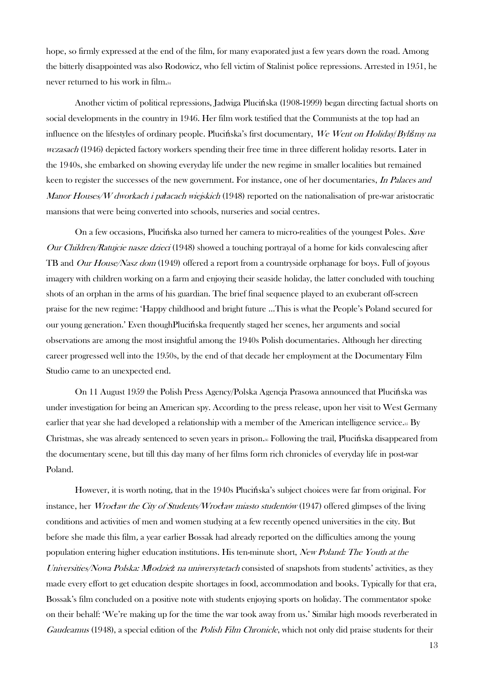hope, so firmly expressed at the end of the film, for many evaporated just a few years down the road. Among the bitterly disappointed was also Rodowicz, who fell victim of Stalinist police repressions. Arrested in 1951, he never returned to his work in film.<sup>34</sup>

Another victim of political repressions, Jadwiga Plucińska (1908-1999) began directing factual shorts on social developments in the country in 1946. Her film work testified that the Communists at the top had an influence on the lifestyles of ordinary people. Plucińska's first documentary, We Went on Holiday/Byli*ś*my na wczasach (1946) depicted factory workers spending their free time in three different holiday resorts. Later in the 1940s, she embarked on showing everyday life under the new regime in smaller localities but remained keen to register the successes of the new government. For instance, one of her documentaries, In Palaces and Manor Houses/W dworkach <sup>i</sup> pa*ł*acach wiejskich (1948) reported on the nationalisation of pre-war aristocratic mansions that were being converted into schools, nurseries and social centres.

On a few occasions, Plucińska also turned her camera to micro-realities of the youngest Poles. Save Our Children/Ratujcie nasze dzieci (1948) showed a touching portrayal of a home for kids convalescing after TB and Our House/Nasz dom (1949) offered a report from a countryside orphanage for boys. Full of joyous imagery with children working on a farm and enjoying their seaside holiday, the latter concluded with touching shots of an orphan in the arms of his guardian. The brief final sequence played to an exuberant off-screen praise for the new regime: 'Happy childhood and bright future …This is what the People's Poland secured for our young generation.' Even thoughPlucińska frequently staged her scenes, her arguments and social observations are among the most insightful among the 1940s Polish documentaries. Although her directing career progressed well into the 1950s, by the end of that decade her employment at the Documentary Film Studio came to an unexpected end.

On 11 August 1959 the Polish Press Agency/Polska Agencja Prasowa announced that Plucińska was under investigation for being an American spy. According to the press release, upon her visit to West Germany earlier that year she had developed a relationship with a member of the American intelligence service.<sup>35</sup> By Christmas, she was already sentenced to seven years in prison.<sup>36</sup> Following the trail, Plucińska disappeared from the documentary scene, but till this day many of her films form rich chronicles of everyday life in post-war Poland.

However, it is worth noting, that in the 1940s Plucińska's subject choices were far from original. For instance, her Wroc*ł*aw the City of Students/Wroc*ł*aw miasto studentów (1947) offered glimpses of the living conditions and activities of men and women studying at a few recently opened universities in the city. But before she made this film, a year earlier Bossak had already reported on the difficulties among the young population entering higher education institutions. His ten-minute short, New Poland: The Youth at the Universities/Nowa Polska: <sup>M</sup>*ł*odzie*ż* na uniwersytetach consisted of snapshots from students' activities, as they made every effort to get education despite shortages in food, accommodation and books. Typically for that era, Bossak's film concluded on a positive note with students enjoying sports on holiday. The commentator spoke on their behalf: 'We're making up for the time the war took away from us.' Similar high moods reverberated in Gaudeamus (1948), a special edition of the Polish Film Chronicle, which not only did praise students for their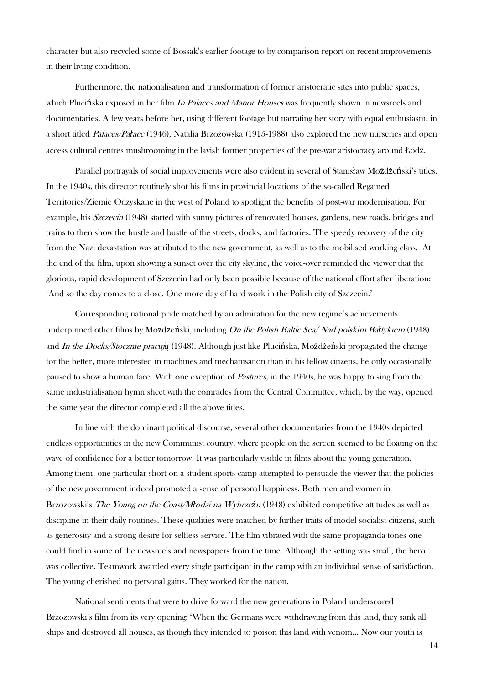character but also recycled some of Bossak's earlier footage to by comparison report on recent improvements in their living condition.

Furthermore, the nationalisation and transformation of former aristocratic sites into public spaces, which Plucinska exposed in her film In Palaces and Manor Houses was frequently shown in newsreels and documentaries. A few years before her, using different footage but narrating her story with equal enthusiasm, in a short titled Palaces/Pa*ł*ace (1946), Natalia Brzozowska (1915-1988) also explored the new nurseries and open access cultural centres mushrooming in the lavish former properties of the pre-war aristocracy around Łódź.

Parallel portrayals of social improvements were also evident in several of Stanisław Możdżeński's titles. In the 1940s, this director routinely shot his films in provincial locations of the so-called Regained Territories/Ziemie Odzyskane in the west of Poland to spotlight the benefits of post-war modernisation. For example, his Szczecin (1948) started with sunny pictures of renovated houses, gardens, new roads, bridges and trains to then show the hustle and bustle of the streets, docks, and factories. The speedy recovery of the city from the Nazi devastation was attributed to the new government, as well as to the mobilised working class. At the end of the film, upon showing a sunset over the city skyline, the voice-over reminded the viewer that the glorious, rapid development of Szczecin had only been possible because of the national effort after liberation: 'And so the day comes to a close. One more day of hard work in the Polish city of Szczecin.'

Corresponding national pride matched by an admiration for the new regime's achievements underpinned other films by Możdżeński, including On the Polish Baltic Sea/ Nad polskim Ba*ł*tykiem (1948) and In the Docks/Stocznie pracuj*ą* (1948). Although just like Plucińska, Możdżeński propagated the change for the better, more interested in machines and mechanisation than in his fellow citizens, he only occasionally paused to show a human face. With one exception of Pastures, in the 1940s, he was happy to sing from the same industrialisation hymn sheet with the comrades from the Central Committee, which, by the way, opened the same year the director completed all the above titles.

In line with the dominant political discourse, several other documentaries from the 1940s depicted endless opportunities in the new Communist country, where people on the screen seemed to be floating on the wave of confidence for a better tomorrow. It was particularly visible in films about the young generation. Among them, one particular short on a student sports camp attempted to persuade the viewer that the policies of the new government indeed promoted a sense of personal happiness. Both men and women in Brzozowski's The Young on the Coast/M*ł*odzi na Wybrze*ż*<sup>u</sup> (1948) exhibited competitive attitudes as well as discipline in their daily routines. These qualities were matched by further traits of model socialist citizens, such as generosity and a strong desire for selfless service. The film vibrated with the same propaganda tones one could find in some of the newsreels and newspapers from the time. Although the setting was small, the hero was collective. Teamwork awarded every single participant in the camp with an individual sense of satisfaction. The young cherished no personal gains. They worked for the nation.

National sentiments that were to drive forward the new generations in Poland underscored Brzozowski's film from its very opening: 'When the Germans were withdrawing from this land, they sank all ships and destroyed all houses, as though they intended to poison this land with venom… Now our youth is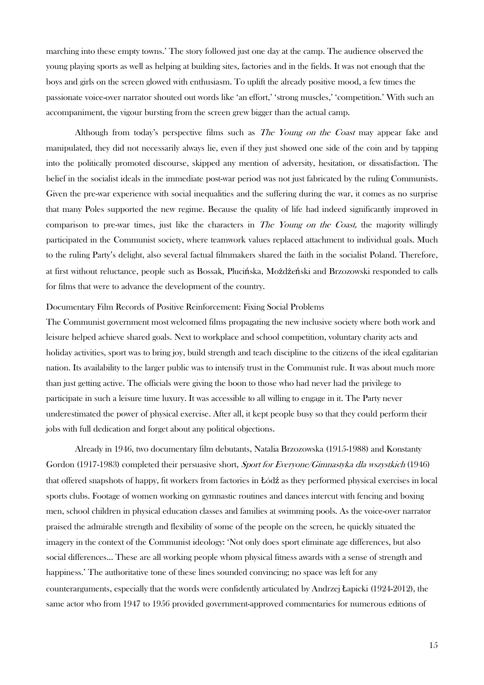marching into these empty towns.' The story followed just one day at the camp. The audience observed the young playing sports as well as helping at building sites, factories and in the fields. It was not enough that the boys and girls on the screen glowed with enthusiasm. To uplift the already positive mood, a few times the passionate voice-over narrator shouted out words like 'an effort,' 'strong muscles,' 'competition.' With such an accompaniment, the vigour bursting from the screen grew bigger than the actual camp.

Although from today's perspective films such as *The Young on the Coast* may appear fake and manipulated, they did not necessarily always lie, even if they just showed one side of the coin and by tapping into the politically promoted discourse, skipped any mention of adversity, hesitation, or dissatisfaction. The belief in the socialist ideals in the immediate post-war period was not just fabricated by the ruling Communists. Given the pre-war experience with social inequalities and the suffering during the war, it comes as no surprise that many Poles supported the new regime. Because the quality of life had indeed significantly improved in comparison to pre-war times, just like the characters in The Young on the Coast, the majority willingly participated in the Communist society, where teamwork values replaced attachment to individual goals. Much to the ruling Party's delight, also several factual filmmakers shared the faith in the socialist Poland. Therefore, at first without reluctance, people such as Bossak, Plucińska, Możdżeński and Brzozowski responded to calls for films that were to advance the development of the country.

#### Documentary Film Records of Positive Reinforcement: Fixing Social Problems

The Communist government most welcomed films propagating the new inclusive society where both work and leisure helped achieve shared goals. Next to workplace and school competition, voluntary charity acts and holiday activities, sport was to bring joy, build strength and teach discipline to the citizens of the ideal egalitarian nation. Its availability to the larger public was to intensify trust in the Communist rule. It was about much more than just getting active. The officials were giving the boon to those who had never had the privilege to participate in such a leisure time luxury. It was accessible to all willing to engage in it. The Party never underestimated the power of physical exercise. After all, it kept people busy so that they could perform their jobs with full dedication and forget about any political objections.

Already in 1946, two documentary film debutants, Natalia Brzozowska (1915-1988) and Konstanty Gordon (1917-1983) completed their persuasive short, Sport for Everyone/Gimnastyka dla wszystkich (1946) that offered snapshots of happy, fit workers from factories in Łódź as they performed physical exercises in local sports clubs. Footage of women working on gymnastic routines and dances intercut with fencing and boxing men, school children in physical education classes and families at swimming pools. As the voice-over narrator praised the admirable strength and flexibility of some of the people on the screen, he quickly situated the imagery in the context of the Communist ideology: 'Not only does sport eliminate age differences, but also social differences… These are all working people whom physical fitness awards with a sense of strength and happiness.' The authoritative tone of these lines sounded convincing; no space was left for any counterarguments, especially that the words were confidently articulated by Andrzej Łapicki (1924-2012), the same actor who from 1947 to 1956 provided government-approved commentaries for numerous editions of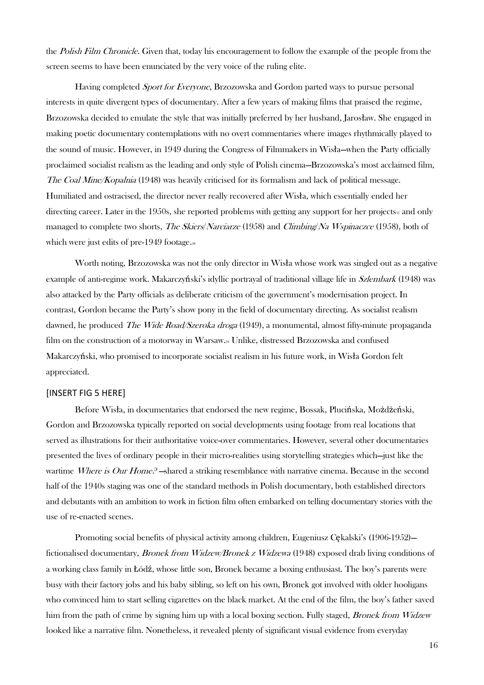the *Polish Film Chronicle*. Given that, today his encouragement to follow the example of the people from the screen seems to have been enunciated by the very voice of the ruling elite.

Having completed Sport for Everyone, Brzozowska and Gordon parted ways to pursue personal interests in quite divergent types of documentary. After a few years of making films that praised the regime, Brzozowska decided to emulate the style that was initially preferred by her husband, Jarosław. She engaged in making poetic documentary contemplations with no overt commentaries where images rhythmically played to the sound of music. However, in 1949 during the Congress of Filmmakers in Wisła—when the Party officially proclaimed socialist realism as the leading and only style of Polish cinema—Brzozowska's most acclaimed film, The Coal Mine/Kopalnia (1948) was heavily criticised for its formalism and lack of political message. Humiliated and ostracised, the director never really recovered after Wisła, which essentially ended her directing career. Later in the 1950s, she reported problems with getting any support for her projects $\pi$  and only managed to complete two shorts, *The Skiers/Narciarze* (1958) and *Climbing/Na Wspinaczce* (1958), both of which were just edits of pre-1949 footage.<sup>38</sup>

Worth noting, Brzozowska was not the only director in Wisła whose work was singled out as a negative example of anti-regime work. Makarczyński's idyllic portrayal of traditional village life in Szlembark (1948) was also attacked by the Party officials as deliberate criticism of the government's modernisation project. In contrast, Gordon became the Party's show pony in the field of documentary directing. As socialist realism dawned, he produced *The Wide Road/Szeroka droga* (1949), a monumental, almost fifty-minute propaganda film on the construction of a motorway in Warsaw.<sup>39</sup> Unlike, distressed Brzozowska and confused Makarczyński, who promised to incorporate socialist realism in his future work, in Wisła Gordon felt appreciated.

## [INSERT FIG 5 HERE]

Before Wisła, in documentaries that endorsed the new regime, Bossak, Plucińska, Możdżeński, Gordon and Brzozowska typically reported on social developments using footage from real locations that served as illustrations for their authoritative voice-over commentaries. However, several other documentaries presented the lives of ordinary people in their micro-realities using storytelling strategies which—just like the wartime Where is Our Home? —shared a striking resemblance with narrative cinema. Because in the second half of the 1940s staging was one of the standard methods in Polish documentary, both established directors and debutants with an ambition to work in fiction film often embarked on telling documentary stories with the use of re-enacted scenes.

Promoting social benefits of physical activity among children, Eugeniusz Cękalski's (1906-1952) fictionalised documentary, Bronek from Widzew/Bronek <sup>z</sup> Widzewa (1948) exposed drab living conditions of a working class family in Łódź, whose little son, Bronek became a boxing enthusiast. The boy's parents were busy with their factory jobs and his baby sibling, so left on his own, Bronek got involved with older hooligans who convinced him to start selling cigarettes on the black market. At the end of the film, the boy's father saved him from the path of crime by signing him up with a local boxing section. Fully staged, *Bronek from Widzew* looked like a narrative film. Nonetheless, it revealed plenty of significant visual evidence from everyday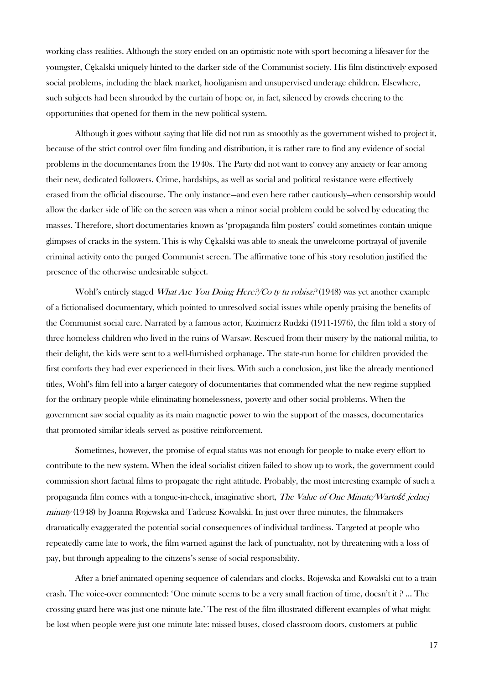working class realities. Although the story ended on an optimistic note with sport becoming a lifesaver for the youngster, Cękalski uniquely hinted to the darker side of the Communist society. His film distinctively exposed social problems, including the black market, hooliganism and unsupervised underage children. Elsewhere, such subjects had been shrouded by the curtain of hope or, in fact, silenced by crowds cheering to the opportunities that opened for them in the new political system.

Although it goes without saying that life did not run as smoothly as the government wished to project it, because of the strict control over film funding and distribution, it is rather rare to find any evidence of social problems in the documentaries from the 1940s. The Party did not want to convey any anxiety or fear among their new, dedicated followers. Crime, hardships, as well as social and political resistance were effectively erased from the official discourse. The only instance—and even here rather cautiously—when censorship would allow the darker side of life on the screen was when a minor social problem could be solved by educating the masses. Therefore, short documentaries known as 'propaganda film posters' could sometimes contain unique glimpses of cracks in the system. This is why Cękalski was able to sneak the unwelcome portrayal of juvenile criminal activity onto the purged Communist screen. The affirmative tone of his story resolution justified the presence of the otherwise undesirable subject.

Wohl's entirely staged What Are You Doing Here?/Co ty tu robisz? (1948) was yet another example of a fictionalised documentary, which pointed to unresolved social issues while openly praising the benefits of the Communist social care. Narrated by a famous actor, Kazimierz Rudzki (1911-1976), the film told a story of three homeless children who lived in the ruins of Warsaw. Rescued from their misery by the national militia, to their delight, the kids were sent to a well-furnished orphanage. The state-run home for children provided the first comforts they had ever experienced in their lives. With such a conclusion, just like the already mentioned titles, Wohl's film fell into a larger category of documentaries that commended what the new regime supplied for the ordinary people while eliminating homelessness, poverty and other social problems. When the government saw social equality as its main magnetic power to win the support of the masses, documentaries that promoted similar ideals served as positive reinforcement.

Sometimes, however, the promise of equal status was not enough for people to make every effort to contribute to the new system. When the ideal socialist citizen failed to show up to work, the government could commission short factual films to propagate the right attitude. Probably, the most interesting example of such a propaganda film comes with a tongue-in-cheek, imaginative short, The Value of One Minute/Warto*ść* jednej minuty (1948) by Joanna Rojewska and Tadeusz Kowalski. In just over three minutes, the filmmakers dramatically exaggerated the potential social consequences of individual tardiness. Targeted at people who repeatedly came late to work, the film warned against the lack of punctuality, not by threatening with a loss of pay, but through appealing to the citizens's sense of social responsibility.

After a brief animated opening sequence of calendars and clocks, Rojewska and Kowalski cut to a train crash. The voice-over commented: 'One minute seems to be a very small fraction of time, doesn't it ? … The crossing guard here was just one minute late.' The rest of the film illustrated different examples of what might be lost when people were just one minute late: missed buses, closed classroom doors, customers at public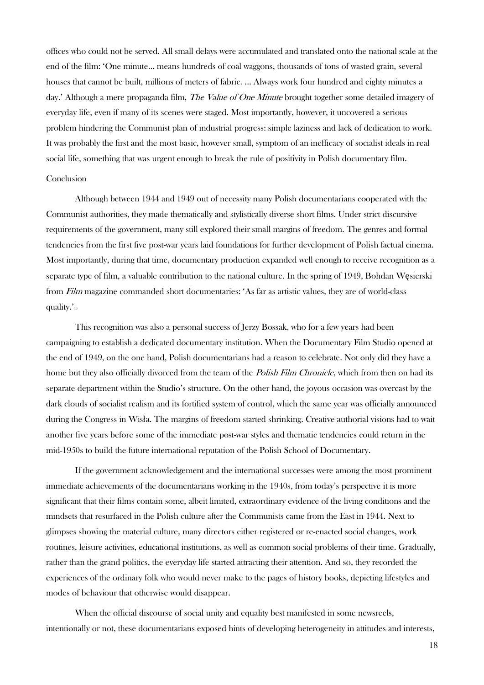offices who could not be served. All small delays were accumulated and translated onto the national scale at the end of the film: 'One minute… means hundreds of coal waggons, thousands of tons of wasted grain, several houses that cannot be built, millions of meters of fabric. ... Always work four hundred and eighty minutes a day.' Although a mere propaganda film, *The Value of One Minute* brought together some detailed imagery of everyday life, even if many of its scenes were staged. Most importantly, however, it uncovered a serious problem hindering the Communist plan of industrial progress: simple laziness and lack of dedication to work. It was probably the first and the most basic, however small, symptom of an inefficacy of socialist ideals in real social life, something that was urgent enough to break the rule of positivity in Polish documentary film.

### Conclusion

Although between 1944 and 1949 out of necessity many Polish documentarians cooperated with the Communist authorities, they made thematically and stylistically diverse short films. Under strict discursive requirements of the government, many still explored their small margins of freedom. The genres and formal tendencies from the first five post-war years laid foundations for further development of Polish factual cinema. Most importantly, during that time, documentary production expanded well enough to receive recognition as a separate type of film, a valuable contribution to the national culture. In the spring of 1949, Bohdan Węsierski from Film magazine commanded short documentaries: 'As far as artistic values, they are of world-class quality.'<sup>40</sup>

This recognition was also a personal success of Jerzy Bossak, who for a few years had been campaigning to establish a dedicated documentary institution. When the Documentary Film Studio opened at the end of 1949, on the one hand, Polish documentarians had a reason to celebrate. Not only did they have a home but they also officially divorced from the team of the *Polish Film Chronicle*, which from then on had its separate department within the Studio's structure. On the other hand, the joyous occasion was overcast by the dark clouds of socialist realism and its fortified system of control, which the same year was officially announced during the Congress in Wisła. The margins of freedom started shrinking. Creative authorial visions had to wait another five years before some of the immediate post-war styles and thematic tendencies could return in the mid-1950s to build the future international reputation of the Polish School of Documentary.

If the government acknowledgement and the international successes were among the most prominent immediate achievements of the documentarians working in the 1940s, from today's perspective it is more significant that their films contain some, albeit limited, extraordinary evidence of the living conditions and the mindsets that resurfaced in the Polish culture after the Communists came from the East in 1944. Next to glimpses showing the material culture, many directors either registered or re-enacted social changes, work routines, leisure activities, educational institutions, as well as common social problems of their time. Gradually, rather than the grand politics, the everyday life started attracting their attention. And so, they recorded the experiences of the ordinary folk who would never make to the pages of history books, depicting lifestyles and modes of behaviour that otherwise would disappear.

When the official discourse of social unity and equality best manifested in some newsreels, intentionally or not, these documentarians exposed hints of developing heterogeneity in attitudes and interests,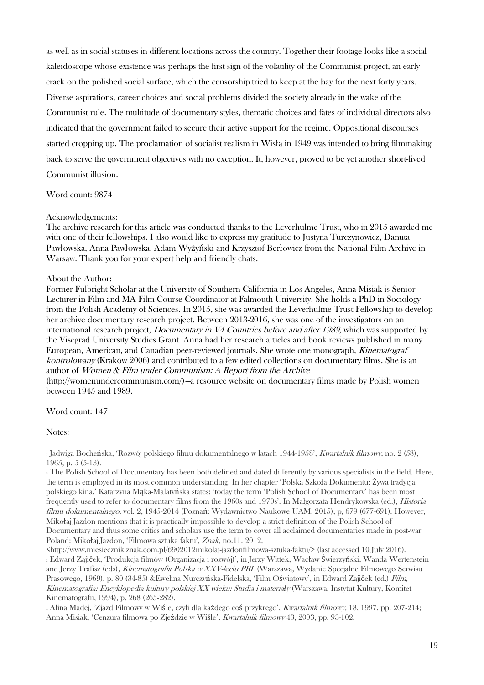as well as in social statuses in different locations across the country. Together their footage looks like a social kaleidoscope whose existence was perhaps the first sign of the volatility of the Communist project, an early crack on the polished social surface, which the censorship tried to keep at the bay for the next forty years. Diverse aspirations, career choices and social problems divided the society already in the wake of the Communist rule. The multitude of documentary styles, thematic choices and fates of individual directors also indicated that the government failed to secure their active support for the regime. Oppositional discourses started cropping up. The proclamation of socialist realism in Wisła in 1949 was intended to bring filmmaking back to serve the government objectives with no exception. It, however, proved to be yet another short-lived Communist illusion.

## Word count: 9874

## Acknowledgements:

The archive research for this article was conducted thanks to the Leverhulme Trust, who in 2015 awarded me with one of their fellowships. I also would like to express my gratitude to Justyna Turczynowicz, Danuta Pawłowska, Anna Pawłowska, Adam Wyżyński and Krzysztof Berłowicz from the National Film Archive in Warsaw. Thank you for your expert help and friendly chats.

## About the Author:

Former Fulbright Scholar at the University of Southern California in Los Angeles, Anna Misiak is Senior Lecturer in Film and MA Film Course Coordinator at Falmouth University. She holds a PhD in Sociology from the Polish Academy of Sciences. In 2015, she was awarded the Leverhulme Trust Fellowship to develop her archive documentary research project. Between 2013-2016, she was one of the investigators on an international research project, *Documentary in V4 Countries before and after 1989*, which was supported by the Visegrad University Studies Grant. Anna had her research articles and book reviews published in many European, American, and Canadian peer-reviewed journals. She wrote one monograph, Kinematograf kontrolowany (Kraków 2006) and contributed to a few edited collections on documentary films. She is an author of Women & Film under Communism: <sup>A</sup> Report from the Archive (http://womenundercommunism.com/)—a resource website on documentary films made by Polish women between 1945 and 1989.

## Word count: 147

## Notes:

<sup>1</sup> Jadwiga Bocheńska, 'Rozwój polskiego filmu dokumentalnego w latach 1944-1958', Kwartalnik filmowy, no. 2 (58), 1965, p. 5 (5-13).

<sup>2</sup> The Polish School of Documentary has been both defined and dated differently by various specialists in the field. Here, the term is employed in its most common understanding. In her chapter 'Polska Szkoła Dokumentu: Żywa tradycja polskiego kina,' Katarzyna Mąka-Malatyńska states: 'today the term 'Polish School of Documentary' has been most frequently used to refer to documentary films from the 1960s and 1970s'. In Małgorzata Hendrykowska (ed.), Historia filmu dokumentalnego, vol. 2, 1945-2014 (Poznań: Wydawnictwo Naukowe UAM, 2015), p, 679 (677-691). However, Mikołaj Jazdon mentions that it is practically impossible to develop a strict definition of the Polish School of Documentary and thus some critics and scholars use the term to cover all acclaimed documentaries made in post-war Poland: Mikołaj Jazdon, 'Filmowa sztuka faktu', Znak, no.11. 2012,

[<http://www.miesiecznik.znak.com.pl/6902012mikolaj-jazdonfilmowa-sztuka-faktu/>](http://www.miesiecznik.znak.com.pl/6902012mikolaj-jazdonfilmowa-sztuka-faktu/) (last accessed 10 July 2016). <sup>3</sup> Edward Zajiček, 'Produkcja filmów (Organizacja i rozwój)', in Jerzy Wittek, Wacław Świerzyński, Wanda Wertenstein and Jerzy Trafisz (eds), Kinematografia Polska <sup>w</sup> XXV-leciu PRL (Warszawa, Wydanie Specjalne Filmowego Serwisu Prasowego, 1969), p. 80 (34-85) &Ewelina Nurczyńska-Fidelska, 'Film Oświatowy', in Edward Zajiček (ed.) Film, Kinematografia: Encyklopedia kultury polskiej XX wieku: Studia <sup>i</sup> materia*ł*<sup>y</sup> (Warszawa, Instytut Kultury, Komitet Kinematografii, 1994), p. 268 (265-282).

<sup>4</sup> Alina Madej, 'Zjazd Filmowy w Wiśle, czyli dla każdego coś przykrego', Kwartalnik filmowy, 18, 1997, pp. 207-214; Anna Misiak, 'Cenzura filmowa po Zjeździe w Wiśle', Kwartalnik filmowy 43, 2003, pp. 93-102.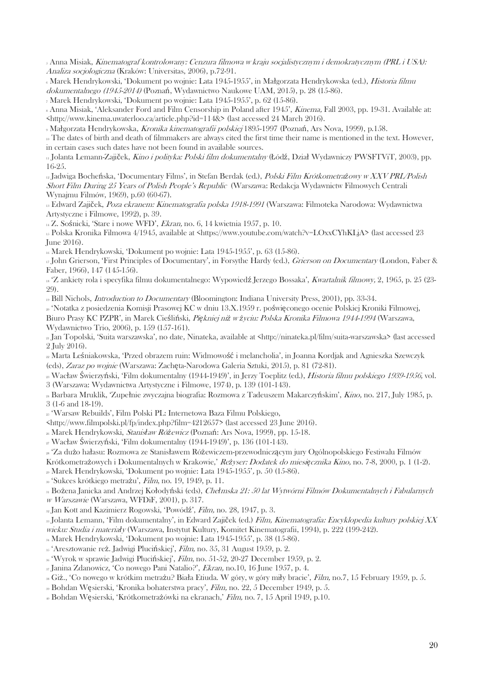<sup>5</sup> Anna Misiak, Kinematograf kontrolowany: Cenzura filmowa <sup>w</sup> kraju socjalistycznym <sup>i</sup> demokratycznym (PRL <sup>i</sup> USA): Analiza socjologiczna (Kraków: Universitas, 2006), p.72-91.

<sup>6</sup> Marek Hendrykowski, 'Dokument po wojnie: Lata 1945-1955', in Małgorzata Hendrykowska (ed.), *Historia filmu* dokumentalnego (1945-2014) (Poznań, Wydawnictwo Naukowe UAM, 2015), p. 28 (15-86).

<sup>7</sup> Marek Hendrykowski, 'Dokument po wojnie: Lata 1945-1955', p. 62 (15-86).

<sup>8</sup> Anna Misiak, 'Aleksander Ford and Film Censorship in Poland after 1945', *Kinema*, Fall 2003, pp. 19-31. Available at: <http://www.kinema.uwaterloo.ca/article.php?id=114&> (last accessed 24 March 2016).

<sup>9</sup> Małgorzata Hendrykowska, Kronika kinematografii polskiej 1895-1997 (Poznań, Ars Nova, 1999), p.158.

<sup>10</sup> The dates of birth and death of filmmakers are always cited the first time their name is mentioned in the text. However, in certain cases such dates have not been found in available sources.

11 Jolanta Lemann-Zajiček, Kino i polityka: Polski film dokumentalny (Łódź, Dział Wydawniczy PWSFTViT, 2003), pp. 16-25.

<sup>12</sup> Jadwiga Bocheńska, 'Documentary Films', in Stefan Berdak (ed.), Polski Film Krótkometra*ż*owy <sup>w</sup> XXV PRL/Polish Short Film During <sup>25</sup> Years of Polish People's Republic (Warszawa: Redakcja Wydawnictw Filmowych Centrali Wynajmu Filmów, 1969), p.60 (60-67).

<sup>13</sup> Edward Zajiček, Poza ekranem: Kinematografia polska 1918-1991 (Warszawa: Filmoteka Narodowa: Wydawnictwa Artystyczne i Filmowe, 1992), p. 39.

<sup>14</sup> Z. Sośnicki, 'Stare i nowe WFD', Ekran, no. 6, 14 kwietnia 1957, p. 10.

<sup>15</sup> Polska Kronika Filmowa 4/1945, available at <https://www.youtube.com/watch?v=LOxxCYhKLjA> (last accessed 23 June 2016).

<sup>16</sup> Marek Hendrykowski, 'Dokument po wojnie: Lata 1945-1955', p. 63 (15-86).

17 John Grierson, 'First Principles of Documentary', in Forsythe Hardy (ed.), Grierson on Documentary (London, Faber & Faber, 1966), 147 (145-156).

<sup>18</sup> 'Z ankiety rola i specyfika filmu dokumentalnego: Wypowiedź Jerzego Bossaka', Kwartalnik filmowy, 2, 1965, p. 25 (23-29).

<sup>19</sup> Bill Nichols, Introduction to Documentary (Bloomington: Indiana University Press, 2001), pp. 33-34.

<sup>20</sup> 'Notatka z posiedzenia Komisji Prasowej KC w dniu 13.X.1959 r. poświęconego ocenie Polskiej Kroniki Filmowej,

Biuro Prasy KC PZPR', in Marek Cieśliński, Pi*ę*kniej ni*ż* <sup>w</sup> *ż*yciu: Polska Kronika Filmowa 1944-1994 (Warszawa, Wydawnictwo Trio, 2006), p. 159 (157-161).

<sup>21</sup> Jan Topolski, 'Suita warszawska', no date, Ninateka, available at <http://ninateka.pl/film/suita-warszawska> (last accessed 2 July 2016).

<sup>22</sup> Marta Leśniakowska, 'Przed obrazem ruin: Widmowość i melancholia', in Joanna Kordjak and Agnieszka Szewczyk (eds), Zaraz po wojnie (Warszawa: Zachęta-Narodowa Galeria Sztuki, 2015), p. 81 (72-81).

<sup>23</sup> Wacław Świerzyński, 'Film dokumentalny (1944-1949)', in Jerzy Toeplitz (ed.), *Historia filmu polskiego 1939-1956,* vol. 3 (Warszawa: Wydawnictwa Artystyczne i Filmowe, 1974), p. 139 (101-143).

<sup>24</sup> Barbara Mruklik, 'Zupełnie zwyczajna biografia: Rozmowa z Tadeuszem Makarczyńskim', Kino, no. 217, July 1985, p. 3 (1-6 and 18-19).

<sup>25</sup> 'Warsaw Rebuilds', Film Polski PL: Internetowa Baza Filmu Polskiego,

<http://www.filmpolski.pl/fp/index.php?film=4212657> (last accessed 23 June 2016).

<sup>26</sup> Marek Hendrykowski, Stanis*ł*aw Ró*ż*ewicz (Poznań: Ars Nova, 1999), pp. 15-18.

<sup>27</sup> Wacław Świerzyński, 'Film dokumentalny (1944-1949)', p. 136 (101-143).

<sup>28</sup> 'Za dużo hałasu: Rozmowa ze Stanisławem Różewiczem-przewodniczącym jury Ogólnopolskiego Festiwalu Filmów

Krótkometrażowych i Dokumentalnych w Krakowie,' Re*ż*yser: Dodatek do miesi*ę*cznika Kino, no. 7-8, 2000, p. 1 (1-2).

<sup>29</sup> Marek Hendrykowski, 'Dokument po wojnie: Lata 1945-1955', p. 50 (15-86).

<sup>30</sup> 'Sukces krótkiego metrażu', Film, no. 19, 1949, p. 11.

<sup>31</sup> Bożena Janicka and Andrzej Kołodyński (eds), Che*ł*mska 21: <sup>50</sup> lat Wytwórni Filmów Dokumentalnych <sup>i</sup> Fabularnych <sup>w</sup> Warszawie (Warszawa, WFDiF, 2001), p. 317.

<sup>32</sup> Jan Kott and Kazimierz Rogowski, 'Powódź', Film, no. 28, 1947, p. 3.

<sup>33</sup> Jolanta Lemann, 'Film dokumentalny', in Edward Zajiček (ed.) Film, Kinematografia: Encyklopedia kultury polskiej XX wieku: Studia <sup>i</sup> materia*ł*<sup>y</sup> (Warszawa, Instytut Kultury, Komitet Kinematografii, 1994), p. 222 (199-242).

<sup>34</sup> Marek Hendrykowski, 'Dokument po wojnie: Lata 1945-1955', p. 38 (15-86).

<sup>35</sup> 'Aresztowanie reż. Jadwigi Plucińskiej', Film, no. 35, 31 August 1959, p. 2.

<sup>36</sup> 'Wyrok w sprawie Jadwigi Plucińskiej', Film, no. 51-52, 20-27 December 1959, p. 2.

<sup>37</sup> Janina Zdanowicz, 'Co nowego Pani Natalio?', Ekran, no.10, 16 June 1957, p. 4.

<sup>38</sup> Giż., 'Co nowego w krótkim metrażu? Biała Etiuda. W góry, w góry miły bracie', Film, no.7, 15 February 1959, p. 5.

<sup>39</sup> Bohdan Węsierski, 'Kronika bohaterstwa pracy', Film, no. 22, 5 December 1949, p. 5.

<sup>40</sup> Bohdan Węsierski, 'Krótkometrażówki na ekranach,' Film, no. 7, 15 April 1949, p.10.